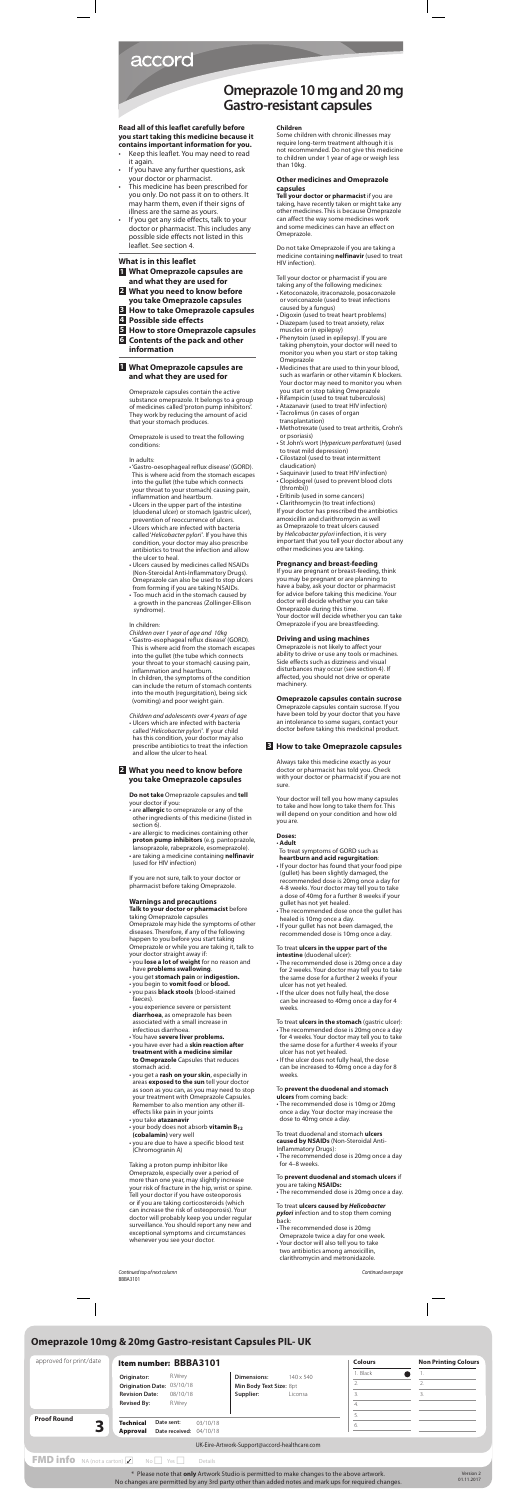accord

# **Omeprazole 10 mg and 20 mg Gastro-resistant capsules**

#### **Read all of this leaflet carefully before you start taking this medicine because it contains important information for you.**

- Keep this leaflet. You may need to read it again.
- If you have any further questions, ask your doctor or pharmacist.
- This medicine has been prescribed for you only. Do not pass it on to others. It may harm them, even if their signs of illness are the same as yours.
- If you get any side effects, talk to your doctor or pharmacist. This includes any possible side effects not listed in this leaflet. See section 4.

#### **What is in this leaflet**

- **1 What Omeprazole capsules are and what they are used for**
- **2 What you need to know before**
- **you take Omeprazole capsules**
- **3 How to take Omeprazole capsules**
- **4 Possible side effects**
- **5 How to store Omeprazole capsules 6 Contents of the pack and other**
- **information**

#### **1 What Omeprazole capsules are and what they are used for**

Omeprazole capsules contain the active substance omeprazole. It belongs to a group of medicines called 'proton pump inhibitors'. They work by reducing the amount of acid that your stomach produces.

Omeprazole is used to treat the following conditions:

In adults:

- 'Gastro-oesophageal reflux disease' (GORD). This is where acid from the stomach escapes into the gullet (the tube which connects your throat to your stomach) causing pain, inflammation and heartburn.
- Ulcers in the upper part of the intestine (duodenal ulcer) or stomach (gastric ulcer), prevention of reoccurrence of ulcers.
- Ulcers which are infected with bacteria called '*Helicobacter pylori'*. If you have this condition, your doctor may also prescribe antibiotics to treat the infection and allow the ulcer to heal.
- Ulcers caused by medicines called NSAIDs (Non-Steroidal Anti-Inflammatory Drugs). Omeprazole can also be used to stop ulcers from forming if you are taking NSAIDs.
- Too much acid in the stomach caused by a growth in the pancreas (Zollinger-Ellison syndrome).

In children:

- *Children over 1 year of age and 10kg*
- 'Gastro-esophageal reflux disease' (GORD). This is where acid from the stomach escapes into the gullet (the tube which connects your throat to your stomach) causing pain, inflammation and heartburn. In children, the symptoms of the condition can include the return of stomach contents into the mouth (regurgitation), being sick (vomiting) and poor weight gain.
- *Children and adolescents over 4 years of age* • Ulcers which are infected with bacteria called '*Helicobacter pylori'*. If your child has this condition, your doctor may also prescribe antibiotics to treat the infection and allow the ulcer to heal.

#### **2 What you need to know before**

## **you take Omeprazole capsules**

**Do not take** Omeprazole capsules and **tell**  your doctor if you:

- are **allergic** to omeprazole or any of the other ingredients of this medicine (listed in section 6).
- are allergic to medicines containing other **proton pump inhibitors** (e.g. pantoprazole, lansoprazole, rabeprazole, esomeprazole).
- are taking a medicine containing **nelfinavir** (used for HIV infection)

If you are not sure, talk to your doctor or pharmacist before taking Omeprazole.

## **Warnings and precautions**

#### **Talk to your doctor or pharmacist** before taking Omeprazole capsules

Omeprazole may hide the symptoms of other diseases. Therefore, if any of the following happen to you before you start taking Omeprazole or while you are taking it, talk to your doctor straight away if:

#### To treat **ulcers in the upper part of the intestine** (duodenal ulcer):

- you **lose a lot of weight** for no reason and have **problems swallowing**.
- you get **stomach pain** or **indigestion.**
- you begin to **vomit food** or **blood.**
- you pass **black stools** (blood-stained faeces).
- you experience severe or persistent **diarrhoea**, as omeprazole has been associated with a small increase in infectious diarrhoea.
- You have **severe liver problems.**
- you have ever had a **skin reaction after treatment with a medicine similar to Omeprazole** Capsules that reduces stomach acid.
- you get a **rash on your skin**, especially in areas **exposed to the sun** tell your doctor as soon as you can, as you may need to stop your treatment with Omeprazole Capsules. Remember to also mention any other illeffects like pain in your joints
- you take **atazanavir**
- your body does not absorb **vitamin B12 (cobalamin)** very well
- you are due to have a specific blood test (Chromogranin A)

Taking a proton pump inhibitor like Omeprazole, especially over a period of more than one year, may slightly increase your risk of fracture in the hip, wrist or spine. Tell your doctor if you have osteoporosis or if you are taking corticosteroids (which can increase the risk of osteoporosis). Your doctor will probably keep you under regular surveillance. You should report any new and exceptional symptoms and circumstances whenever you see your doctor.

#### **Children**

Some children with chronic illnesses may require long-term treatment although it is not recommended. Do not give this medicine to children under 1 year of age or weigh less than 10kg.

#### **Other medicines and Omeprazole capsules**

**Tell your doctor or pharmacist** if you are taking, have recently taken or might take any other medicines. This is because Omeprazole can affect the way some medicines work and some medicines can have an effect on Omeprazole.

Do not take Omeprazole if you are taking a medicine containing **nelfinavir** (used to treat HIV infection).

Tell your doctor or pharmacist if you are taking any of the following medicines:

- Ketoconazole, itraconazole, posaconazole or voriconazole (used to treat infections caused by a fungus)
- Digoxin (used to treat heart problems) • Diazepam (used to treat anxiety, relax
- muscles or in epilepsy) • Phenytoin (used in epilepsy). If you are
- taking phenytoin, your doctor will need to monitor you when you start or stop taking Omeprazole
- Medicines that are used to thin your blood, such as warfarin or other vitamin K blockers. Your doctor may need to monitor you when you start or stop taking Omeprazole
- Rifampicin (used to treat tuberculosis)
- Atazanavir (used to treat HIV infection) • Tacrolimus (in cases of organ
- transplantation) • Methotrexate (used to treat arthritis, Crohn's or psoriasis)
- St John's wort (*Hypericum perforatum*) (used to treat mild depression)
- Cilostazol (used to treat intermittent claudication)
- Saquinavir (used to treat HIV infection) • Clopidogrel (used to prevent blood clots
	- (thrombi))
- Erltinib (used in some cancers)

• Clarithromycin (to treat infections) If your doctor has prescribed the antibiotics amoxicillin and clarithromycin as well as Omeprazole to treat ulcers caused by *Helicobacter pylori* infection, it is very important that you tell your doctor about any other medicines you are taking.

#### **Pregnancy and breast-feeding**

If you are pregnant or breast-feeding, think you may be pregnant or are planning to have a baby, ask your doctor or pharmacist for advice before taking this medicine. Your doctor will decide whether you can take Omeprazole during this time. Your doctor will decide whether you can take Omeprazole if you are breastfeeding.

#### **Driving and using machines**

Omeprazole is not likely to affect your ability to drive or use any tools or machines. Side effects such as dizziness and visual disturbances may occur (see section 4). If affected, you should not drive or operate machinery.

**Omeprazole capsules contain sucrose** Omeprazole capsules contain sucrose. If you have been told by your doctor that you have an intolerance to some sugars, contact your doctor before taking this medicinal product.

## **3 How to take Omeprazole capsules**

Always take this medicine exactly as your doctor or pharmacist has told you. Check with your doctor or pharmacist if you are not sure.

Your doctor will tell you how many capsules to take and how long to take them for. This will depend on your condition and how old you are.

#### **Doses:**

#### • **Adult**

To treat symptoms of GORD such as **heartburn and acid regurgitation**:

- If your doctor has found that your food pipe (gullet) has been slightly damaged, the recommended dose is 20mg once a day for 4-8 weeks. Your doctor may tell you to take a dose of 40mg for a further 8 weeks if your gullet has not yet healed.
- The recommended dose once the gullet has healed is 10mg once a day.
- If your gullet has not been damaged, the recommended dose is 10mg once a day.

- The recommended dose is 20mg once a day for 2 weeks. Your doctor may tell you to take the same dose for a further 2 weeks if your ulcer has not yet healed.
- If the ulcer does not fully heal, the dose can be increased to 40mg once a day for 4 weeks.

#### To treat **ulcers in the stomach** (gastric ulcer):

- The recommended dose is 20mg once a day for 4 weeks. Your doctor may tell you to take the same dose for a further 4 weeks if your ulcer has not yet healed.
- If the ulcer does not fully heal, the dose can be increased to 40mg once a day for 8 weeks.

#### To **prevent the duodenal and stomach ulcers** from coming back:

• The recommended dose is 10mg or 20mg once a day. Your doctor may increase the dose to 40mg once a day.

To treat duodenal and stomach **ulcers caused by NSAIDs** (Non-Steroidal Anti-Inflammatory Drugs):

• The recommended dose is 20mg once a day for 4–8 weeks.

#### To **prevent duodenal and stomach ulcers** if you are taking **NSAIDs:**

• The recommended dose is 20mg once a day.

To treat **ulcers caused by** *Helicobacter pylori* infection and to stop them coming back:

- The recommended dose is 20mg Omeprazole twice a day for one week.
- Your doctor will also tell you to take two antibiotics among amoxicillin, clarithromycin and metronidazole.